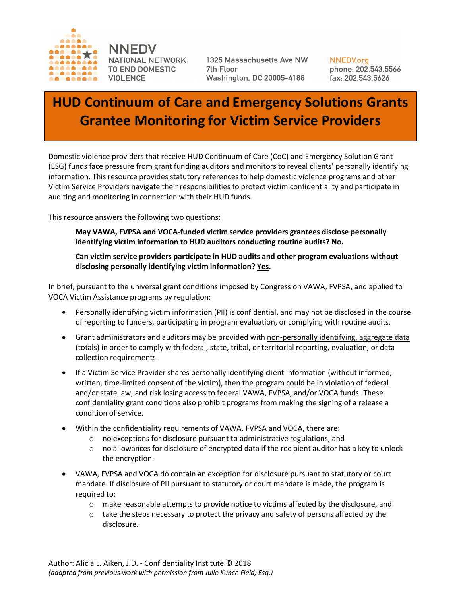

**NNEDV** NATIONAL NETWORK TO END DOMESTIC **VIOLENCE** 

1325 Massachusetts Ave NW 7th Floor **Washington, DC 20005-4188** 

**NNEDV**.ora phone: 202.543.5566 fax: 202.543.5626

# **HUD Continuum of Care and Emergency Solutions Grants Grantee Monitoring for Victim Service Providers**

Domestic violence providers that receive HUD Continuum of Care (CoC) and Emergency Solution Grant (ESG) funds face pressure from grant funding auditors and monitors to reveal clients' personally identifying information. This resource provides statutory references to help domestic violence programs and other Victim Service Providers navigate their responsibilities to protect victim confidentiality and participate in auditing and monitoring in connection with their HUD funds.

This resource answers the following two questions:

**May VAWA, FVPSA and VOCA-funded victim service providers grantees disclose personally identifying victim information to HUD auditors conducting routine audits? No.**

**Can victim service providers participate in HUD audits and other program evaluations without disclosing personally identifying victim information? Yes.**

In brief, pursuant to the universal grant conditions imposed by Congress on VAWA, FVPSA, and applied to VOCA Victim Assistance programs by regulation:

- Personally identifying victim information (PII) is confidential, and may not be disclosed in the course of reporting to funders, participating in program evaluation, or complying with routine audits.
- Grant administrators and auditors may be provided with non-personally identifying, aggregate data (totals) in order to comply with federal, state, tribal, or territorial reporting, evaluation, or data collection requirements.
- If a Victim Service Provider shares personally identifying client information (without informed, written, time-limited consent of the victim), then the program could be in violation of federal and/or state law, and risk losing access to federal VAWA, FVPSA, and/or VOCA funds. These confidentiality grant conditions also prohibit programs from making the signing of a release a condition of service.
- Within the confidentiality requirements of VAWA, FVPSA and VOCA, there are:
	- o no exceptions for disclosure pursuant to administrative regulations, and
	- $\circ$  no allowances for disclosure of encrypted data if the recipient auditor has a key to unlock the encryption.
- VAWA, FVPSA and VOCA do contain an exception for disclosure pursuant to statutory or court mandate. If disclosure of PII pursuant to statutory or court mandate is made, the program is required to:
	- $\circ$  make reasonable attempts to provide notice to victims affected by the disclosure, and
	- $\circ$  take the steps necessary to protect the privacy and safety of persons affected by the disclosure.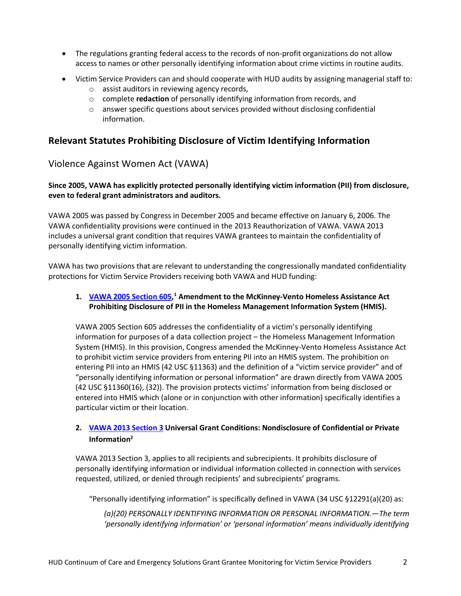- The regulations granting federal access to the records of non-profit organizations do not allow access to names or other personally identifying information about crime victims in routine audits.
- Victim Service Providers can and should cooperate with HUD audits by assigning managerial staff to:
	- o assist auditors in reviewing agency records,
	- o complete **redaction** of personally identifying information from records, and
	- $\circ$  answer specific questions about services provided without disclosing confidential information.

## **Relevant Statutes Prohibiting Disclosure of Victim Identifying Information**

## Violence Against Women Act (VAWA)

**Since 2005, VAWA has explicitly protected personally identifying victim information (PII) from disclosure, even to federal grant administrators and auditors.**

VAWA 2005 was passed by Congress in December 2005 and became effective on January 6, 2006. The VAWA confidentiality provisions were continued in the 2013 Reauthorization of VAWA. VAWA 2013 includes a universal grant condition that requires VAWA grantees to maintain the confidentiality of personally identifying victim information.

VAWA has two provisions that are relevant to understanding the congressionally mandated confidentiality protections for Victim Service Providers receiving both VAWA and HUD funding:

#### 1. VAWA 2005 Section 605,<sup>1</sup> Amendment to the McKinney-Vento Homeless Assistance Act **Prohibiting Disclosure of PII in the Homeless Management Information System (HMIS).**

VAWA 2005 Section 605 addresses the confidentiality of a victim's personally identifying information for purposes of a data collection project – the Homeless Management Information System (HMIS). In this provision, Congress amended the McKinney-Vento Homeless Assistance Act to prohibit victim service providers from entering PII into an HMIS system. The prohibition on entering PII into an HMIS (42 USC §11363) and the definition of a "victim service provider" and of "personally identifying information or personal information" are drawn directly from VAWA 2005 (42 USC §11360(16), (32)). The provision protects victims' information from being disclosed or entered into HMIS which (alone or in conjunction with other information) specifically identifies a particular victim or their location.

## **2. VAWA 2013 Section 3 Universal Grant Conditions: Nondisclosure of Confidential or Private Information2**

VAWA 2013 Section 3, applies to all recipients and subrecipients. It prohibits disclosure of personally identifying information or individual information collected in connection with services requested, utilized, or denied through recipients' and subrecipients' programs.

"Personally identifying information" is specifically defined in VAWA (34 USC §12291(a)(20) as:

*(a)(20) PERSONALLY IDENTIFYING INFORMATION OR PERSONAL INFORMATION.—The term 'personally identifying information' or 'personal information' means individually identifying*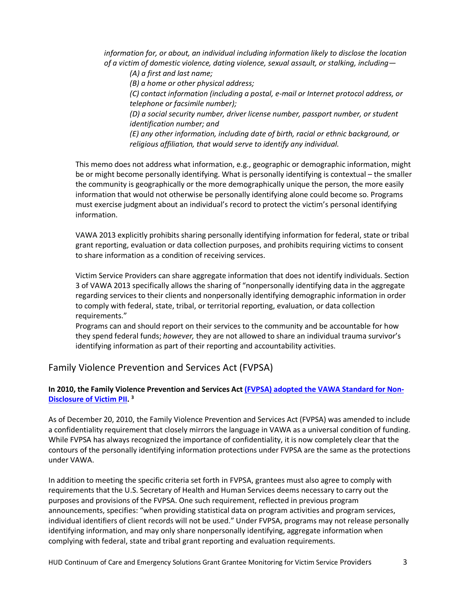*information for, or about, an individual including information likely to disclose the location of a victim of domestic violence, dating violence, sexual assault, or stalking, including—*

*(A) a first and last name;*

*(B) a home or other physical address;*

*(C) contact information (including a postal, e-mail or Internet protocol address, or telephone or facsimile number);*

*(D) a social security number, driver license number, passport number, or student identification number; and*

*(E) any other information, including date of birth, racial or ethnic background, or religious affiliation, that would serve to identify any individual.*

This memo does not address what information, e.g., geographic or demographic information, might be or might become personally identifying. What is personally identifying is contextual – the smaller the community is geographically or the more demographically unique the person, the more easily information that would not otherwise be personally identifying alone could become so. Programs must exercise judgment about an individual's record to protect the victim's personal identifying information.

VAWA 2013 explicitly prohibits sharing personally identifying information for federal, state or tribal grant reporting, evaluation or data collection purposes, and prohibits requiring victims to consent to share information as a condition of receiving services.

Victim Service Providers can share aggregate information that does not identify individuals. Section 3 of VAWA 2013 specifically allows the sharing of "nonpersonally identifying data in the aggregate regarding services to their clients and nonpersonally identifying demographic information in order to comply with federal, state, tribal, or territorial reporting, evaluation, or data collection requirements."

Programs can and should report on their services to the community and be accountable for how they spend federal funds; *however,* they are not allowed to share an individual trauma survivor's identifying information as part of their reporting and accountability activities.

## Family Violence Prevention and Services Act (FVPSA)

## **In 2010, the Family Violence Prevention and Services Act (FVPSA) adopted the VAWA Standard for Non-Disclosure of Victim PII. 3**

As of December 20, 2010, the Family Violence Prevention and Services Act (FVPSA) was amended to include a confidentiality requirement that closely mirrors the language in VAWA as a universal condition of funding. While FVPSA has always recognized the importance of confidentiality, it is now completely clear that the contours of the personally identifying information protections under FVPSA are the same as the protections under VAWA.

In addition to meeting the specific criteria set forth in FVPSA, grantees must also agree to comply with requirements that the U.S. Secretary of Health and Human Services deems necessary to carry out the purposes and provisions of the FVPSA. One such requirement, reflected in previous program announcements, specifies: "when providing statistical data on program activities and program services, individual identifiers of client records will not be used." Under FVPSA, programs may not release personally identifying information, and may only share nonpersonally identifying, aggregate information when complying with federal, state and tribal grant reporting and evaluation requirements.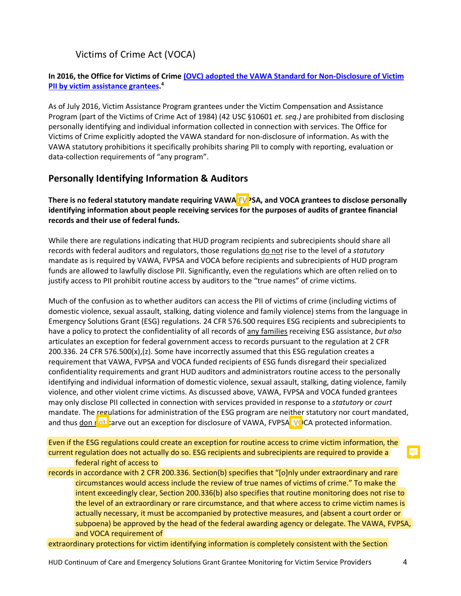# Victims of Crime Act (VOCA)

#### **In 2016, the Office for Victims of Crime (OVC) adopted the VAWA Standard for Non-Disclosure of Victim PII by victim assistance grantees. 4**

As of July 2016, Victim Assistance Program grantees under the Victim Compensation and Assistance Program (part of the Victims of Crime Act of 1984) (42 USC §10601 *et. seq.)* are prohibited from disclosing personally identifying and individual information collected in connection with services. The Office for Victims of Crime explicitly adopted the VAWA standard for non-disclosure of information. As with the VAWA statutory prohibitions it specifically prohibits sharing PII to comply with reporting, evaluation or data-collection requirements of "any program".

## **Personally Identifying Information & Auditors**

There is no federal statutory mandate requiring VAWA **FV**PSA, and VOCA grantees to disclose personally **identifying information about people receiving services for the purposes of audits of grantee financial records and their use of federal funds.**

While there are regulations indicating that HUD program recipients and subrecipients should share all records with federal auditors and regulators, those regulations do not rise to the level of a *statutory* mandate as is required by VAWA, FVPSA and VOCA before recipients and subrecipients of HUD program funds are allowed to lawfully disclose PII. Significantly, even the regulations which are often relied on to justify access to PII prohibit routine access by auditors to the "true names" of crime victims.

Much of the confusion as to whether auditors can access the PII of victims of crime (including victims of domestic violence, sexual assault, stalking, dating violence and family violence) stems from the language in Emergency Solutions Grant (ESG) regulations. 24 CFR 576.500 requires ESG recipients and subrecipients to have a policy to protect the confidentiality of all records of any families receiving ESG assistance, *but also* articulates an exception for federal government access to records pursuant to the regulation at 2 CFR 200.336. 24 CFR 576.500(x),(z). Some have incorrectly assumed that this ESG regulation creates a requirement that VAWA, FVPSA and VOCA funded recipients of ESG funds disregard their specialized confidentiality requirements and grant HUD auditors and administrators routine access to the personally identifying and individual information of domestic violence, sexual assault, stalking, dating violence, family violence, and other violent crime victims. As discussed above, VAWA, FVPSA and VOCA funded grantees may only disclose PII collected in connection with services provided in response to a *statutory* or *court* mandate. The regulations for administration of the ESG program are neither statutory nor court mandated, and thus don  $\frac{1}{2}$  carve out an exception for disclosure of VAWA, FVPSA,  $\forall$ OCA protected information.

Even if the ESG regulations could create an exception for routine access to crime victim information, the current regulation does not actually do so. ESG recipients and subrecipients are required to provide a federal right of access to

records in accordance with 2 CFR 200.336. Section(b) specifies that "[o]nly under extraordinary and rare circumstances would access include the review of true names of victims of crime." To make the intent exceedingly clear, Section 200.336(b) also specifies that routine monitoring does not rise to the level of an extraordinary or rare circumstance, and that where access to crime victim names is actually necessary, it must be accompanied by protective measures, and (absent a court order or subpoena) be approved by the head of the federal awarding agency or delegate. The VAWA, FVPSA, and VOCA requirement of

extraordinary protections for victim identifying information is completely consistent with the Section

E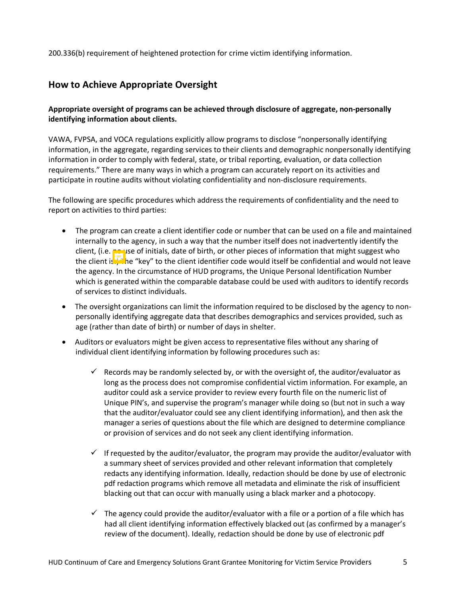200.336(b) requirement of heightened protection for crime victim identifying information.

## **How to Achieve Appropriate Oversight**

## **Appropriate oversight of programs can be achieved through disclosure of aggregate, non-personally identifying information about clients.**

VAWA, FVPSA, and VOCA regulations explicitly allow programs to disclose "nonpersonally identifying information, in the aggregate, regarding services to their clients and demographic nonpersonally identifying information in order to comply with federal, state, or tribal reporting, evaluation, or data collection requirements." There are many ways in which a program can accurately report on its activities and participate in routine audits without violating confidentiality and non-disclosure requirements.

The following are specific procedures which address the requirements of confidentiality and the need to report on activities to third parties:

- The program can create a client identifier code or number that can be used on a file and maintained internally to the agency, in such a way that the number itself does not inadvertently identify the client, (i.e. no use of initials, date of birth, or other pieces of information that might suggest who the client is.<sup>3</sup> The "key" to the client identifier code would itself be confidential and would not leave the agency. In the circumstance of HUD programs, the Unique Personal Identification Number which is generated within the comparable database could be used with auditors to identify records of services to distinct individuals.
- The oversight organizations can limit the information required to be disclosed by the agency to nonpersonally identifying aggregate data that describes demographics and services provided, such as age (rather than date of birth) or number of days in shelter.
- Auditors or evaluators might be given access to representative files without any sharing of individual client identifying information by following procedures such as:
	- $\checkmark$  Records may be randomly selected by, or with the oversight of, the auditor/evaluator as long as the process does not compromise confidential victim information. For example, an auditor could ask a service provider to review every fourth file on the numeric list of Unique PIN's, and supervise the program's manager while doing so (but not in such a way that the auditor/evaluator could see any client identifying information), and then ask the manager a series of questions about the file which are designed to determine compliance or provision of services and do not seek any client identifying information.
	- $\checkmark$  If requested by the auditor/evaluator, the program may provide the auditor/evaluator with a summary sheet of services provided and other relevant information that completely redacts any identifying information. Ideally, redaction should be done by use of electronic pdf redaction programs which remove all metadata and eliminate the risk of insufficient blacking out that can occur with manually using a black marker and a photocopy.
	- $\checkmark$  The agency could provide the auditor/evaluator with a file or a portion of a file which has had all client identifying information effectively blacked out (as confirmed by a manager's review of the document). Ideally, redaction should be done by use of electronic pdf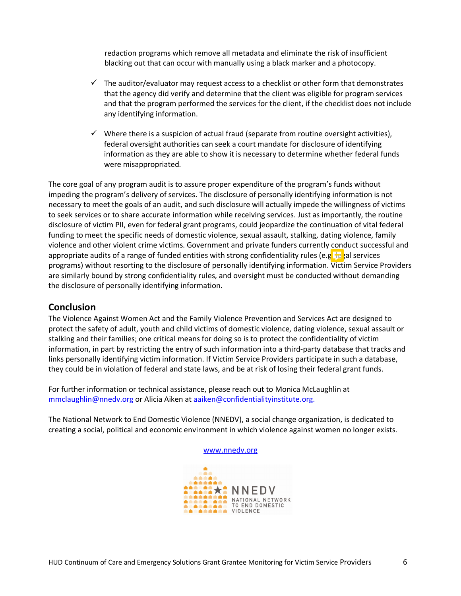redaction programs which remove all metadata and eliminate the risk of insufficient blacking out that can occur with manually using a black marker and a photocopy.

- $\checkmark$  The auditor/evaluator may request access to a checklist or other form that demonstrates that the agency did verify and determine that the client was eligible for program services and that the program performed the services for the client, if the checklist does not include any identifying information.
- $\checkmark$  Where there is a suspicion of actual fraud (separate from routine oversight activities), federal oversight authorities can seek a court mandate for disclosure of identifying information as they are able to show it is necessary to determine whether federal funds were misappropriated.

The core goal of any program audit is to assure proper expenditure of the program's funds without impeding the program's delivery of services. The disclosure of personally identifying information is not necessary to meet the goals of an audit, and such disclosure will actually impede the willingness of victims to seek services or to share accurate information while receiving services. Just as importantly, the routine disclosure of victim PII, even for federal grant programs, could jeopardize the continuation of vital federal funding to meet the specific needs of domestic violence, sexual assault, stalking, dating violence, family violence and other violent crime victims. Government and private funders currently conduct successful and appropriate audits of a range of funded entities with strong confidentiality rules (e.g.  $\pm$  al services programs) without resorting to the disclosure of personally identifying information. Victim Service Providers are similarly bound by strong confidentiality rules, and oversight must be conducted without demanding the disclosure of personally identifying information.

# **Conclusion**

The Violence Against Women Act and the Family Violence Prevention and Services Act are designed to protect the safety of adult, youth and child victims of domestic violence, dating violence, sexual assault or stalking and their families; one critical means for doing so is to protect the confidentiality of victim information, in part by restricting the entry of such information into a third-party database that tracks and links personally identifying victim information. If Victim Service Providers participate in such a database, they could be in violation of federal and state laws, and be at risk of losing their federal grant funds.

For further information or technical assistance, please reach out to Monica McLaughlin at mmclaughlin@nnedv.org or Alicia Aiken at aaiken@confidentialityinstitute.org.

The National Network to End Domestic Violence (NNEDV), a social change organization, is dedicated to creating a social, political and economic environment in which violence against women no longer exists.

www.nnedv.org

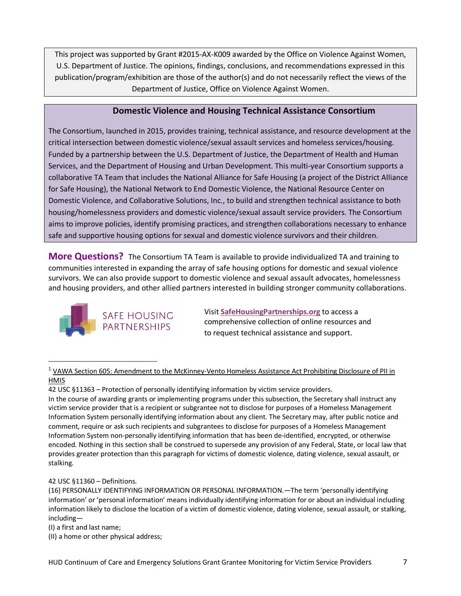This project was supported by Grant #2015-AX-K009 awarded by the Office on Violence Against Women, U.S. Department of Justice. The opinions, findings, conclusions, and recommendations expressed in this publication/program/exhibition are those of the author(s) and do not necessarily reflect the views of the Department of Justice, Office on Violence Against Women.

## **Domestic Violence and Housing Technical Assistance Consortium**

The Consortium, launched in 2015, provides training, technical assistance, and resource development at the critical intersection between domestic violence/sexual assault services and homeless services/housing. Funded by a partnership between the U.S. Department of Justice, the Department of Health and Human Services, and the Department of Housing and Urban Development. This multi-year Consortium supports a collaborative TA Team that includes the National Alliance for Safe Housing (a project of the District Alliance for Safe Housing), the National Network to End Domestic Violence, the National Resource Center on Domestic Violence, and Collaborative Solutions, Inc., to build and strengthen technical assistance to both housing/homelessness providers and domestic violence/sexual assault service providers. The Consortium aims to improve policies, identify promising practices, and strengthen collaborations necessary to enhance safe and supportive housing options for sexual and domestic violence survivors and their children.

**More Questions?** The Consortium TA Team is available to provide individualized TA and training to communities interested in expanding the array of safe housing options for domestic and sexual violence survivors. We can also provide support to domestic violence and sexual assault advocates, homelessness and housing providers, and other allied partners interested in building stronger community collaborations.



Visit **SafeHousingPartnerships.org** to access a comprehensive collection of online resources and to request technical assistance and support.

 $1$  VAWA Section 605: Amendment to the McKinney-Vento Homeless Assistance Act Prohibiting Disclosure of PII in HMIS

In the course of awarding grants or implementing programs under this subsection, the Secretary shall instruct any victim service provider that is a recipient or subgrantee not to disclose for purposes of a Homeless Management Information System personally identifying information about any client. The Secretary may, after public notice and comment, require or ask such recipients and subgrantees to disclose for purposes of a Homeless Management Information System non-personally identifying information that has been de-identified, encrypted, or otherwise encoded. Nothing in this section shall be construed to supersede any provision of any Federal, State, or local law that provides greater protection than this paragraph for victims of domestic violence, dating violence, sexual assault, or stalking.

42 USC §11360 – Definitions.

 $\overline{a}$ 

(16) PERSONALLY IDENTIFYING INFORMATION OR PERSONAL INFORMATION.—The term 'personally identifying information' or 'personal information' means individually identifying information for or about an individual including information likely to disclose the location of a victim of domestic violence, dating violence, sexual assault, or stalking, including—

(I) a first and last name;

(II) a home or other physical address;

<sup>42</sup> USC §11363 – Protection of personally identifying information by victim service providers.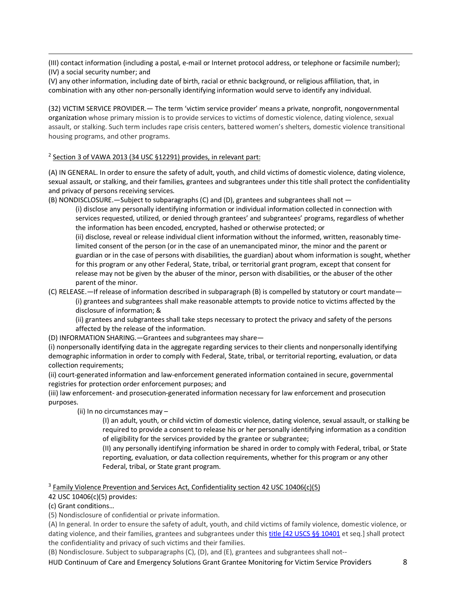(III) contact information (including a postal, e-mail or Internet protocol address, or telephone or facsimile number); (IV) a social security number; and

(V) any other information, including date of birth, racial or ethnic background, or religious affiliation, that, in combination with any other non-personally identifying information would serve to identify any individual.

(32) VICTIM SERVICE PROVIDER.— The term 'victim service provider' means a private, nonprofit, nongovernmental organization whose primary mission is to provide services to victims of domestic violence, dating violence, sexual assault, or stalking. Such term includes rape crisis centers, battered women's shelters, domestic violence transitional housing programs, and other programs.

#### $2$  Section 3 of VAWA 2013 (34 USC §12291) provides, in relevant part:

(A) IN GENERAL. In order to ensure the safety of adult, youth, and child victims of domestic violence, dating violence, sexual assault, or stalking, and their families, grantees and subgrantees under this title shall protect the confidentiality and privacy of persons receiving services.

(B) NONDISCLOSURE.—Subject to subparagraphs (C) and (D), grantees and subgrantees shall not —

(i) disclose any personally identifying information or individual information collected in connection with services requested, utilized, or denied through grantees' and subgrantees' programs, regardless of whether the information has been encoded, encrypted, hashed or otherwise protected; or

(ii) disclose, reveal or release individual client information without the informed, written, reasonably timelimited consent of the person (or in the case of an unemancipated minor, the minor and the parent or guardian or in the case of persons with disabilities, the guardian) about whom information is sought, whether for this program or any other Federal, State, tribal, or territorial grant program, except that consent for release may not be given by the abuser of the minor, person with disabilities, or the abuser of the other parent of the minor.

(C) RELEASE.—If release of information described in subparagraph (B) is compelled by statutory or court mandate— (i) grantees and subgrantees shall make reasonable attempts to provide notice to victims affected by the disclosure of information; &

(ii) grantees and subgrantees shall take steps necessary to protect the privacy and safety of the persons affected by the release of the information.

(D) INFORMATION SHARING.—Grantees and subgrantees may share—

(i) nonpersonally identifying data in the aggregate regarding services to their clients and nonpersonally identifying demographic information in order to comply with Federal, State, tribal, or territorial reporting, evaluation, or data collection requirements;

(ii) court-generated information and law-enforcement generated information contained in secure, governmental registries for protection order enforcement purposes; and

(iii) law enforcement- and prosecution-generated information necessary for law enforcement and prosecution purposes.

(ii) In no circumstances may –

(I) an adult, youth, or child victim of domestic violence, dating violence, sexual assault, or stalking be required to provide a consent to release his or her personally identifying information as a condition of eligibility for the services provided by the grantee or subgrantee;

(II) any personally identifying information be shared in order to comply with Federal, tribal, or State reporting, evaluation, or data collection requirements, whether for this program or any other Federal, tribal, or State grant program.

 $3$  Family Violence Prevention and Services Act, Confidentiality section 42 USC 10406(c)(5)

42 USC 10406(c)(5) provides:

(c) Grant conditions…

 $\overline{a}$ 

(5) Nondisclosure of confidential or private information.

(A) In general. In order to ensure the safety of adult, youth, and child victims of family violence, domestic violence, or dating violence, and their families, grantees and subgrantees under this title [42 USCS §§ 10401 et seq.] shall protect the confidentiality and privacy of such victims and their families.

(B) Nondisclosure. Subject to subparagraphs (C), (D), and (E), grantees and subgrantees shall not--

HUD Continuum of Care and Emergency Solutions Grant Grantee Monitoring for Victim Service Providers 8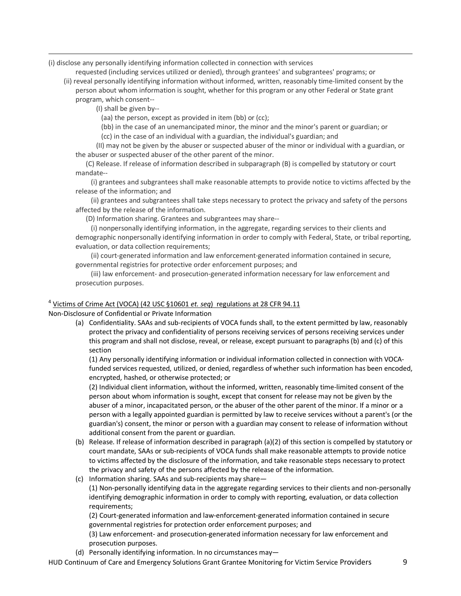(i) disclose any personally identifying information collected in connection with services

requested (including services utilized or denied), through grantees' and subgrantees' programs; or

 (ii) reveal personally identifying information without informed, written, reasonably time-limited consent by the person about whom information is sought, whether for this program or any other Federal or State grant program, which consent--

(I) shall be given by--

 $\overline{a}$ 

(aa) the person, except as provided in item (bb) or (cc);

(bb) in the case of an unemancipated minor, the minor and the minor's parent or guardian; or

(cc) in the case of an individual with a guardian, the individual's guardian; and

 (II) may not be given by the abuser or suspected abuser of the minor or individual with a guardian, or the abuser or suspected abuser of the other parent of the minor.

 (C) Release. If release of information described in subparagraph (B) is compelled by statutory or court mandate--

 (i) grantees and subgrantees shall make reasonable attempts to provide notice to victims affected by the release of the information; and

 (ii) grantees and subgrantees shall take steps necessary to protect the privacy and safety of the persons affected by the release of the information.

(D) Information sharing. Grantees and subgrantees may share--

 (i) nonpersonally identifying information, in the aggregate, regarding services to their clients and demographic nonpersonally identifying information in order to comply with Federal, State, or tribal reporting, evaluation, or data collection requirements;

 (ii) court-generated information and law enforcement-generated information contained in secure, governmental registries for protective order enforcement purposes; and

 (iii) law enforcement- and prosecution-generated information necessary for law enforcement and prosecution purposes.

#### <sup>4</sup> Victims of Crime Act (VOCA) (42 USC §10601 *et. seq*) regulations at 28 CFR 94.11

Non-Disclosure of Confidential or Private Information

(a) Confidentiality. SAAs and sub-recipients of VOCA funds shall, to the extent permitted by law, reasonably protect the privacy and confidentiality of persons receiving services of persons receiving services under this program and shall not disclose, reveal, or release, except pursuant to paragraphs (b) and (c) of this section

(1) Any personally identifying information or individual information collected in connection with VOCAfunded services requested, utilized, or denied, regardless of whether such information has been encoded, encrypted, hashed, or otherwise protected; or

(2) Individual client information, without the informed, written, reasonably time-limited consent of the person about whom information is sought, except that consent for release may not be given by the abuser of a minor, incapacitated person, or the abuser of the other parent of the minor. If a minor or a person with a legally appointed guardian is permitted by law to receive services without a parent's (or the guardian's) consent, the minor or person with a guardian may consent to release of information without additional consent from the parent or guardian.

- (b) Release. If release of information described in paragraph (a)(2) of this section is compelled by statutory or court mandate, SAAs or sub-recipients of VOCA funds shall make reasonable attempts to provide notice to victims affected by the disclosure of the information, and take reasonable steps necessary to protect the privacy and safety of the persons affected by the release of the information.
- (c) Information sharing. SAAs and sub-recipients may share— (1) Non-personally identifying data in the aggregate regarding services to their clients and non-personally identifying demographic information in order to comply with reporting, evaluation, or data collection requirements;

(2) Court-generated information and law-enforcement-generated information contained in secure governmental registries for protection order enforcement purposes; and

(3) Law enforcement- and prosecution-generated information necessary for law enforcement and prosecution purposes.

(d) Personally identifying information. In no circumstances may—

HUD Continuum of Care and Emergency Solutions Grant Grantee Monitoring for Victim Service Providers 9